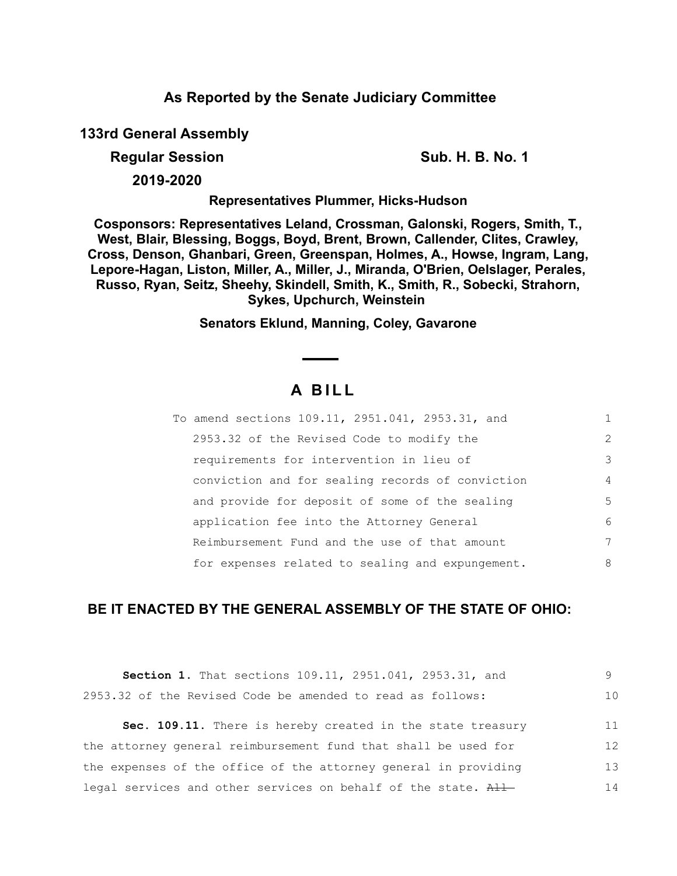# **As Reported by the Senate Judiciary Committee**

**133rd General Assembly**

**Regular Session Sub. H. B. No. 1 Sub. H. B. No. 1** 

**2019-2020**

**Representatives Plummer, Hicks-Hudson**

**Cosponsors: Representatives Leland, Crossman, Galonski, Rogers, Smith, T., West, Blair, Blessing, Boggs, Boyd, Brent, Brown, Callender, Clites, Crawley, Cross, Denson, Ghanbari, Green, Greenspan, Holmes, A., Howse, Ingram, Lang, Lepore-Hagan, Liston, Miller, A., Miller, J., Miranda, O'Brien, Oelslager, Perales, Russo, Ryan, Seitz, Sheehy, Skindell, Smith, K., Smith, R., Sobecki, Strahorn, Sykes, Upchurch, Weinstein** 

**Senators Eklund, Manning, Coley, Gavarone**

# **A B I L L**

| To amend sections 109.11, 2951.041, 2953.31, and |                |
|--------------------------------------------------|----------------|
| 2953.32 of the Revised Code to modify the        | 2              |
| requirements for intervention in lieu of         | 3              |
| conviction and for sealing records of conviction | $\overline{4}$ |
| and provide for deposit of some of the sealing   | 5              |
| application fee into the Attorney General        | 6              |
| Reimbursement Fund and the use of that amount    | 7              |
| for expenses related to sealing and expungement. | 8              |

# **BE IT ENACTED BY THE GENERAL ASSEMBLY OF THE STATE OF OHIO:**

| Section 1. That sections 109.11, 2951.041, 2953.31, and         |    |
|-----------------------------------------------------------------|----|
| 2953.32 of the Revised Code be amended to read as follows:      | 10 |
| Sec. 109.11. There is hereby created in the state treasury      | 11 |
| the attorney general reimbursement fund that shall be used for  | 12 |
| the expenses of the office of the attorney general in providing | 13 |
| legal services and other services on behalf of the state. All   | 14 |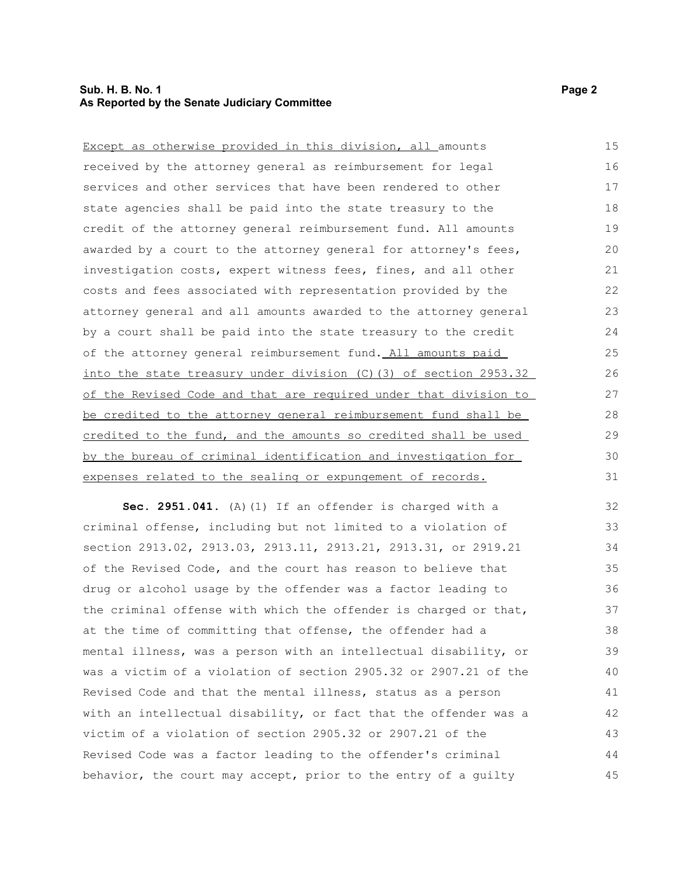#### **Sub. H. B. No. 1 Page 2 As Reported by the Senate Judiciary Committee**

| Except as otherwise provided in this division, all amounts        | 15 |
|-------------------------------------------------------------------|----|
| received by the attorney general as reimbursement for legal       | 16 |
| services and other services that have been rendered to other      | 17 |
| state agencies shall be paid into the state treasury to the       | 18 |
| credit of the attorney general reimbursement fund. All amounts    | 19 |
| awarded by a court to the attorney general for attorney's fees,   | 20 |
| investigation costs, expert witness fees, fines, and all other    | 21 |
| costs and fees associated with representation provided by the     | 22 |
| attorney general and all amounts awarded to the attorney general  | 23 |
| by a court shall be paid into the state treasury to the credit    | 24 |
| of the attorney general reimbursement fund. All amounts paid      | 25 |
| into the state treasury under division (C) (3) of section 2953.32 | 26 |
| of the Revised Code and that are required under that division to  | 27 |
| be credited to the attorney general reimbursement fund shall be   | 28 |
| credited to the fund, and the amounts so credited shall be used   | 29 |
| by the bureau of criminal identification and investigation for    | 30 |
| expenses related to the sealing or expungement of records.        | 31 |

**Sec. 2951.041.** (A)(1) If an offender is charged with a criminal offense, including but not limited to a violation of section 2913.02, 2913.03, 2913.11, 2913.21, 2913.31, or 2919.21 of the Revised Code, and the court has reason to believe that drug or alcohol usage by the offender was a factor leading to the criminal offense with which the offender is charged or that, at the time of committing that offense, the offender had a mental illness, was a person with an intellectual disability, or was a victim of a violation of section 2905.32 or 2907.21 of the Revised Code and that the mental illness, status as a person with an intellectual disability, or fact that the offender was a victim of a violation of section 2905.32 or 2907.21 of the Revised Code was a factor leading to the offender's criminal behavior, the court may accept, prior to the entry of a guilty 32 33 34 35 36 37 38 39 40 41 42 43 44 45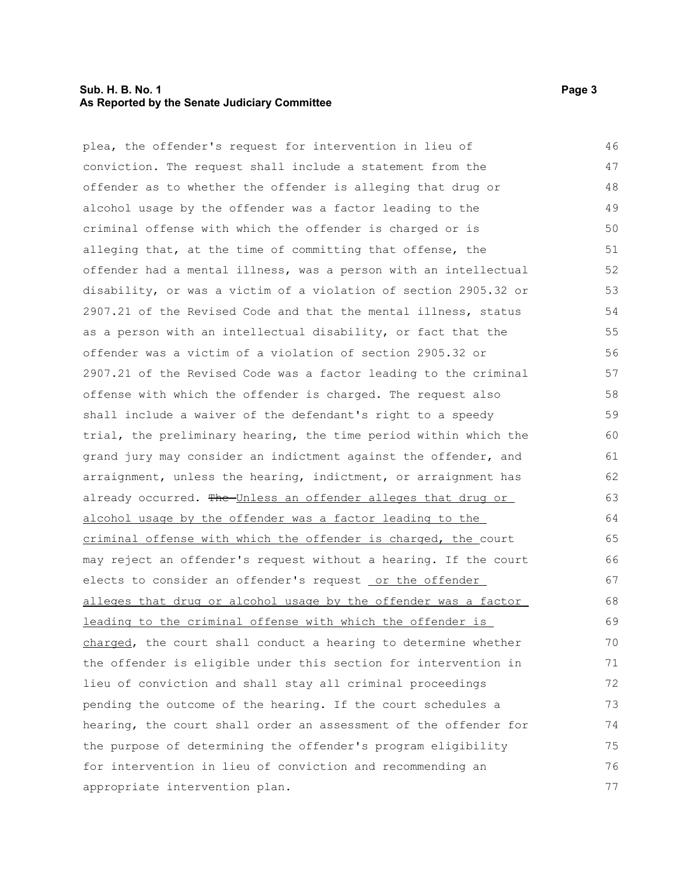#### **Sub. H. B. No. 1 Page 3 As Reported by the Senate Judiciary Committee**

plea, the offender's request for intervention in lieu of conviction. The request shall include a statement from the offender as to whether the offender is alleging that drug or alcohol usage by the offender was a factor leading to the criminal offense with which the offender is charged or is alleging that, at the time of committing that offense, the offender had a mental illness, was a person with an intellectual disability, or was a victim of a violation of section 2905.32 or 2907.21 of the Revised Code and that the mental illness, status as a person with an intellectual disability, or fact that the offender was a victim of a violation of section 2905.32 or 2907.21 of the Revised Code was a factor leading to the criminal offense with which the offender is charged. The request also shall include a waiver of the defendant's right to a speedy trial, the preliminary hearing, the time period within which the grand jury may consider an indictment against the offender, and arraignment, unless the hearing, indictment, or arraignment has already occurred. The Unless an offender alleges that drug or alcohol usage by the offender was a factor leading to the criminal offense with which the offender is charged, the court may reject an offender's request without a hearing. If the court elects to consider an offender's request or the offender alleges that drug or alcohol usage by the offender was a factor leading to the criminal offense with which the offender is charged, the court shall conduct a hearing to determine whether the offender is eligible under this section for intervention in lieu of conviction and shall stay all criminal proceedings pending the outcome of the hearing. If the court schedules a hearing, the court shall order an assessment of the offender for the purpose of determining the offender's program eligibility for intervention in lieu of conviction and recommending an appropriate intervention plan. 46 47 48 49 50 51 52 53 54 55 56 57 58 59  $60$ 61 62 63 64 65 66 67 68 69 70 71 72 73 74 75 76 77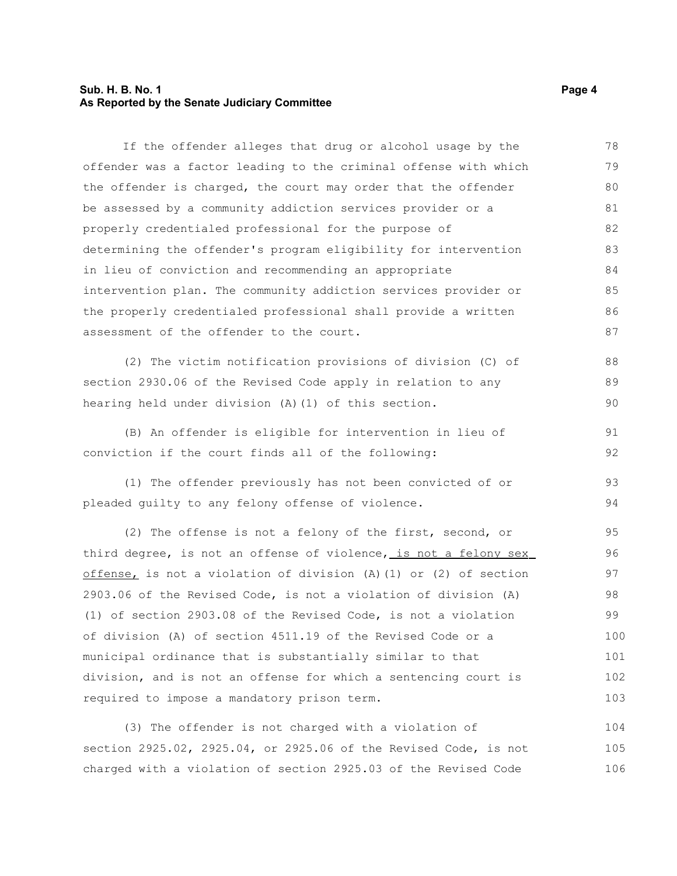#### **Sub. H. B. No. 1 Page 4 As Reported by the Senate Judiciary Committee**

If the offender alleges that drug or alcohol usage by the offender was a factor leading to the criminal offense with which the offender is charged, the court may order that the offender be assessed by a community addiction services provider or a properly credentialed professional for the purpose of determining the offender's program eligibility for intervention in lieu of conviction and recommending an appropriate intervention plan. The community addiction services provider or the properly credentialed professional shall provide a written assessment of the offender to the court. 78 79 80 81 82 83 84 85 86 87

(2) The victim notification provisions of division (C) of section 2930.06 of the Revised Code apply in relation to any hearing held under division (A)(1) of this section. 88 89 90

(B) An offender is eligible for intervention in lieu of conviction if the court finds all of the following: 91 92

(1) The offender previously has not been convicted of or pleaded guilty to any felony offense of violence. 93 94

(2) The offense is not a felony of the first, second, or third degree, is not an offense of violence, is not a felony sex offense, is not a violation of division (A)(1) or (2) of section 2903.06 of the Revised Code, is not a violation of division (A) (1) of section 2903.08 of the Revised Code, is not a violation of division (A) of section 4511.19 of the Revised Code or a municipal ordinance that is substantially similar to that division, and is not an offense for which a sentencing court is required to impose a mandatory prison term. 95 96 97 98 99 100 101 102 103

(3) The offender is not charged with a violation of section 2925.02, 2925.04, or 2925.06 of the Revised Code, is not charged with a violation of section 2925.03 of the Revised Code 104 105 106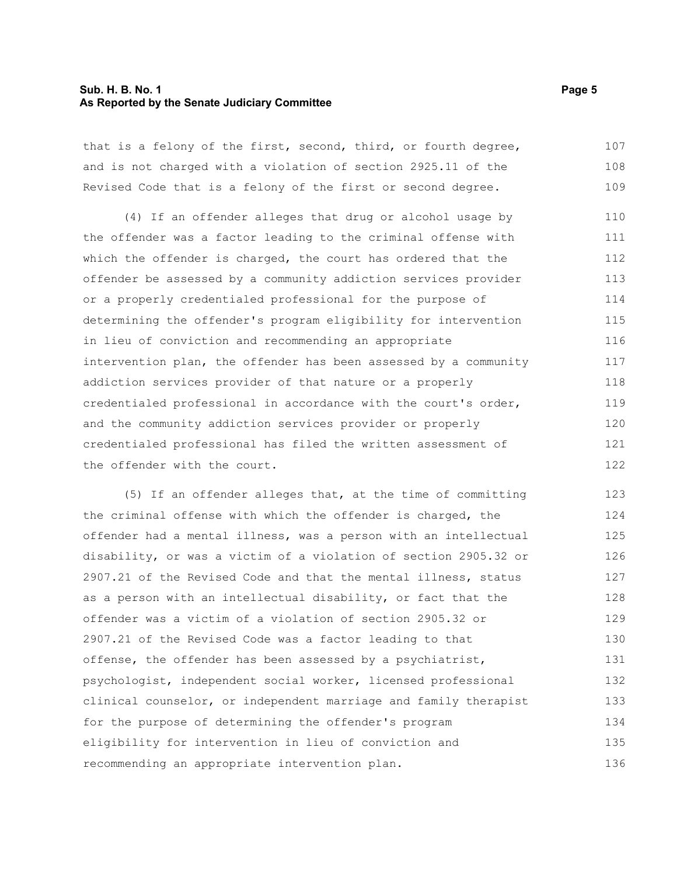#### **Sub. H. B. No. 1 Page 5 As Reported by the Senate Judiciary Committee**

that is a felony of the first, second, third, or fourth degree, and is not charged with a violation of section 2925.11 of the Revised Code that is a felony of the first or second degree. 107 108 109

(4) If an offender alleges that drug or alcohol usage by the offender was a factor leading to the criminal offense with which the offender is charged, the court has ordered that the offender be assessed by a community addiction services provider or a properly credentialed professional for the purpose of determining the offender's program eligibility for intervention in lieu of conviction and recommending an appropriate intervention plan, the offender has been assessed by a community addiction services provider of that nature or a properly credentialed professional in accordance with the court's order, and the community addiction services provider or properly credentialed professional has filed the written assessment of the offender with the court. 110 111 112 113 114 115 116 117 118 119 120 121 122

(5) If an offender alleges that, at the time of committing the criminal offense with which the offender is charged, the offender had a mental illness, was a person with an intellectual disability, or was a victim of a violation of section 2905.32 or 2907.21 of the Revised Code and that the mental illness, status as a person with an intellectual disability, or fact that the offender was a victim of a violation of section 2905.32 or 2907.21 of the Revised Code was a factor leading to that offense, the offender has been assessed by a psychiatrist, psychologist, independent social worker, licensed professional clinical counselor, or independent marriage and family therapist for the purpose of determining the offender's program eligibility for intervention in lieu of conviction and recommending an appropriate intervention plan. 123 124 125 126 127 128 129 130 131 132 133 134 135 136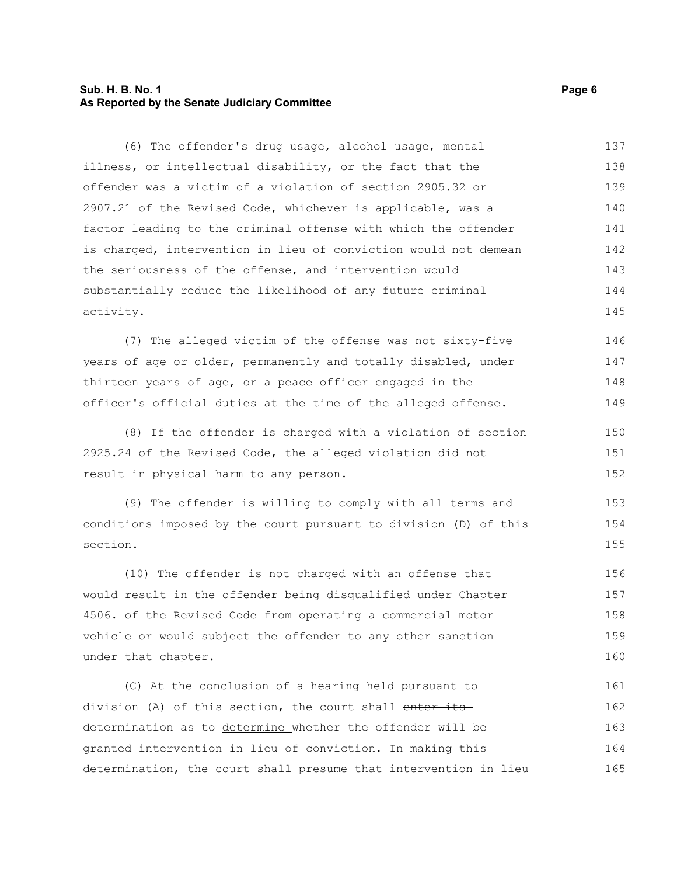#### **Sub. H. B. No. 1 Page 6 As Reported by the Senate Judiciary Committee**

(6) The offender's drug usage, alcohol usage, mental illness, or intellectual disability, or the fact that the offender was a victim of a violation of section 2905.32 or 2907.21 of the Revised Code, whichever is applicable, was a factor leading to the criminal offense with which the offender is charged, intervention in lieu of conviction would not demean the seriousness of the offense, and intervention would substantially reduce the likelihood of any future criminal activity. 137 138 139 140 141 142 143 144 145

(7) The alleged victim of the offense was not sixty-five years of age or older, permanently and totally disabled, under thirteen years of age, or a peace officer engaged in the officer's official duties at the time of the alleged offense. 146 147 148 149

(8) If the offender is charged with a violation of section 2925.24 of the Revised Code, the alleged violation did not result in physical harm to any person.

(9) The offender is willing to comply with all terms and conditions imposed by the court pursuant to division (D) of this section. 153 154 155

(10) The offender is not charged with an offense that would result in the offender being disqualified under Chapter 4506. of the Revised Code from operating a commercial motor vehicle or would subject the offender to any other sanction under that chapter. 156 157 158 159 160

(C) At the conclusion of a hearing held pursuant to division (A) of this section, the court shall enter its determination as to determine whether the offender will be granted intervention in lieu of conviction. In making this determination, the court shall presume that intervention in lieu 161 162 163 164 165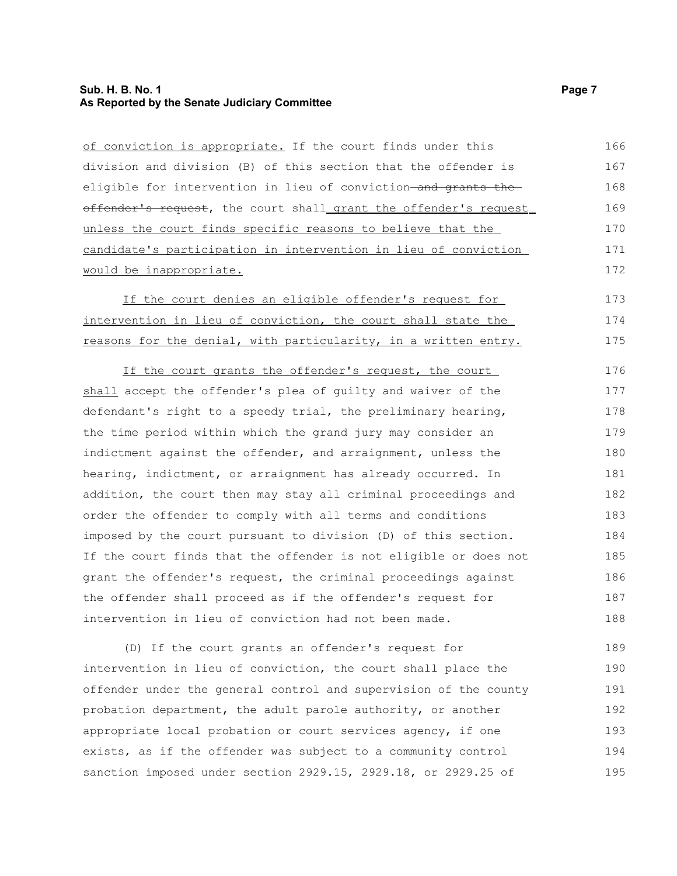### **Sub. H. B. No. 1 Page 7 As Reported by the Senate Judiciary Committee**

| of conviction is appropriate. If the court finds under this      | 166 |
|------------------------------------------------------------------|-----|
| division and division (B) of this section that the offender is   | 167 |
| eligible for intervention in lieu of conviction-and grants the-  | 168 |
| offender's request, the court shall grant the offender's request | 169 |
| unless the court finds specific reasons to believe that the      | 170 |
| candidate's participation in intervention in lieu of conviction  | 171 |
| would be inappropriate.                                          | 172 |
| If the court denies an eligible offender's request for           | 173 |
| intervention in lieu of conviction, the court shall state the    | 174 |
| reasons for the denial, with particularity, in a written entry.  | 175 |
| If the court grants the offender's request, the court            | 176 |
| shall accept the offender's plea of guilty and waiver of the     | 177 |
| defendant's right to a speedy trial, the preliminary hearing,    | 178 |
| the time period within which the grand jury may consider an      | 179 |
| indictment against the offender, and arraignment, unless the     | 180 |
| hearing, indictment, or arraignment has already occurred. In     | 181 |
| addition, the court then may stay all criminal proceedings and   | 182 |
| order the offender to comply with all terms and conditions       | 183 |
| imposed by the court pursuant to division (D) of this section.   | 184 |
| If the court finds that the offender is not eligible or does not | 185 |
| grant the offender's request, the criminal proceedings against   | 186 |
| the offender shall proceed as if the offender's request for      | 187 |
| intervention in lieu of conviction had not been made.            | 188 |
| (D) If the court grants an offender's request for                | 189 |
| intervention in lieu of conviction, the court shall place the    | 190 |
| offender under the general control and supervision of the county | 191 |
| probation department, the adult parole authority, or another     | 192 |
| appropriate local probation or court services agency, if one     | 193 |
| exists, as if the offender was subject to a community control    | 194 |

sanction imposed under section 2929.15, 2929.18, or 2929.25 of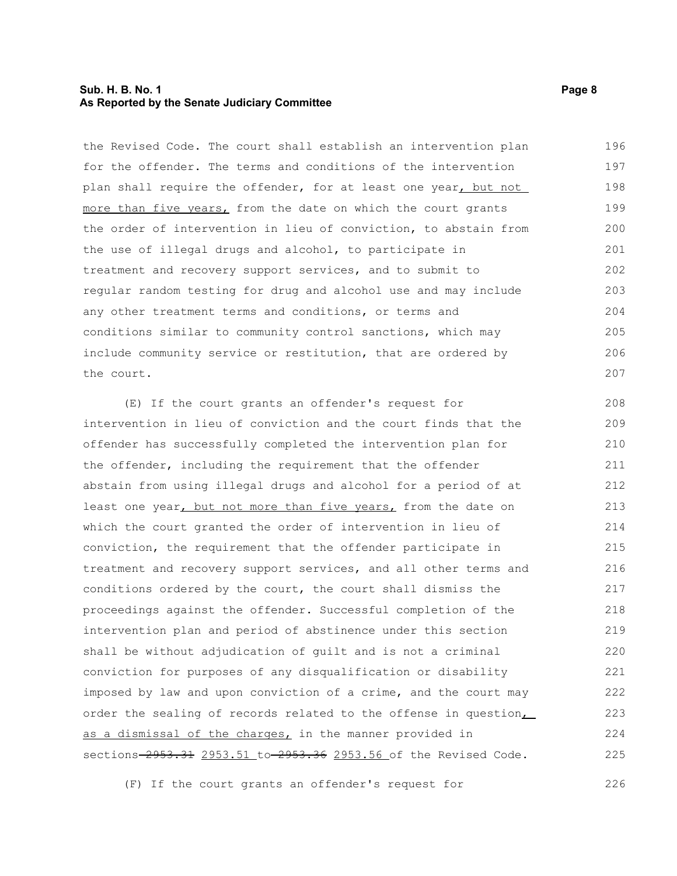#### **Sub. H. B. No. 1 Page 8 As Reported by the Senate Judiciary Committee**

the Revised Code. The court shall establish an intervention plan for the offender. The terms and conditions of the intervention plan shall require the offender, for at least one year, but not more than five years, from the date on which the court grants the order of intervention in lieu of conviction, to abstain from the use of illegal drugs and alcohol, to participate in treatment and recovery support services, and to submit to regular random testing for drug and alcohol use and may include any other treatment terms and conditions, or terms and conditions similar to community control sanctions, which may include community service or restitution, that are ordered by the court. 196 197 198 199 200 201 202 203 204 205 206 207

(E) If the court grants an offender's request for intervention in lieu of conviction and the court finds that the offender has successfully completed the intervention plan for the offender, including the requirement that the offender abstain from using illegal drugs and alcohol for a period of at least one year, but not more than five years, from the date on which the court granted the order of intervention in lieu of conviction, the requirement that the offender participate in treatment and recovery support services, and all other terms and conditions ordered by the court, the court shall dismiss the proceedings against the offender. Successful completion of the intervention plan and period of abstinence under this section shall be without adjudication of guilt and is not a criminal conviction for purposes of any disqualification or disability imposed by law and upon conviction of a crime, and the court may order the sealing of records related to the offense in question, as a dismissal of the charges, in the manner provided in sections-2953.31 2953.51 to-2953.36 2953.56 of the Revised Code. 208 209 210 211 212 213 214 215 216 217 218 219 220 221 222 223 224 225

(F) If the court grants an offender's request for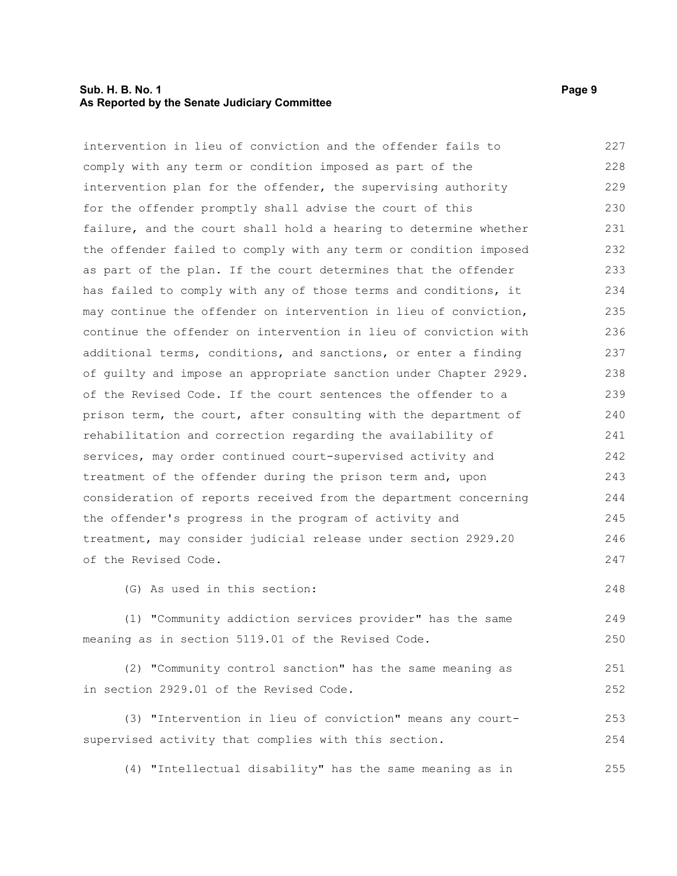#### **Sub. H. B. No. 1 Page 9 As Reported by the Senate Judiciary Committee**

in section 2929.01 of the Revised Code.

intervention in lieu of conviction and the offender fails to comply with any term or condition imposed as part of the intervention plan for the offender, the supervising authority for the offender promptly shall advise the court of this failure, and the court shall hold a hearing to determine whether the offender failed to comply with any term or condition imposed as part of the plan. If the court determines that the offender has failed to comply with any of those terms and conditions, it may continue the offender on intervention in lieu of conviction, continue the offender on intervention in lieu of conviction with additional terms, conditions, and sanctions, or enter a finding of guilty and impose an appropriate sanction under Chapter 2929. of the Revised Code. If the court sentences the offender to a prison term, the court, after consulting with the department of rehabilitation and correction regarding the availability of services, may order continued court-supervised activity and treatment of the offender during the prison term and, upon consideration of reports received from the department concerning the offender's progress in the program of activity and treatment, may consider judicial release under section 2929.20 of the Revised Code. (G) As used in this section: (1) "Community addiction services provider" has the same meaning as in section 5119.01 of the Revised Code. (2) "Community control sanction" has the same meaning as 227 228 229 230 231 232 233 234 235 236 237 238 239 240 241 242 243 244 245 246 247 248 249 250 251

(3) "Intervention in lieu of conviction" means any courtsupervised activity that complies with this section. 253 254

(4) "Intellectual disability" has the same meaning as in 255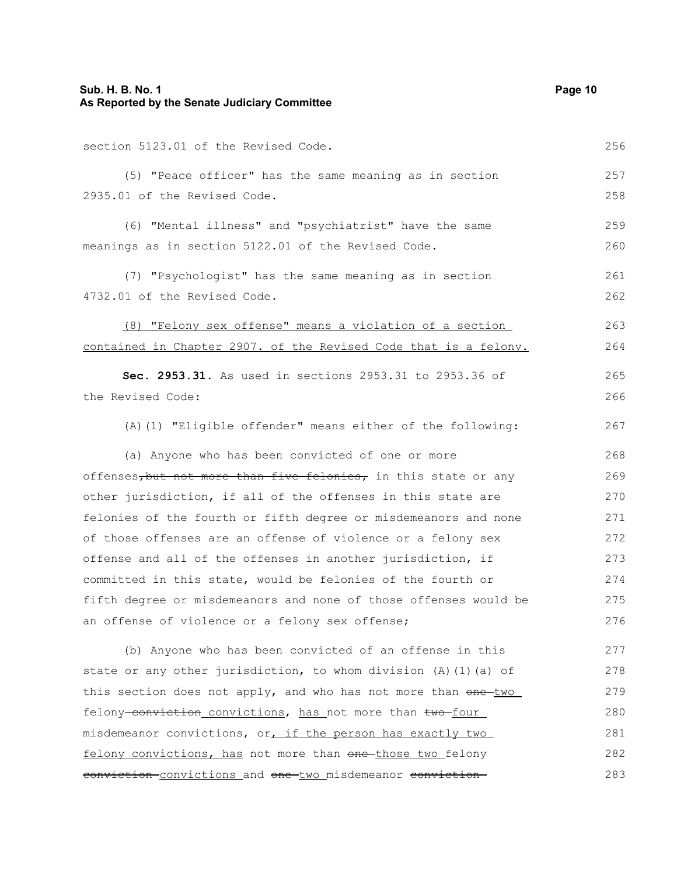section 5123.01 of the Revised Code. (5) "Peace officer" has the same meaning as in section 2935.01 of the Revised Code. (6) "Mental illness" and "psychiatrist" have the same meanings as in section 5122.01 of the Revised Code. (7) "Psychologist" has the same meaning as in section

4732.01 of the Revised Code. 261 262

(8) "Felony sex offense" means a violation of a section contained in Chapter 2907. of the Revised Code that is a felony. 263 264

**Sec. 2953.31.** As used in sections 2953.31 to 2953.36 of the Revised Code: 265 266

(A)(1) "Eligible offender" means either of the following:

(a) Anyone who has been convicted of one or more offenses, but not more than five felonies, in this state or any other jurisdiction, if all of the offenses in this state are felonies of the fourth or fifth degree or misdemeanors and none of those offenses are an offense of violence or a felony sex offense and all of the offenses in another jurisdiction, if committed in this state, would be felonies of the fourth or fifth degree or misdemeanors and none of those offenses would be an offense of violence or a felony sex offense; 268 269 270 271 272 273 274 275 276

(b) Anyone who has been convicted of an offense in this state or any other jurisdiction, to whom division (A)(1)(a) of this section does not apply, and who has not more than one two felony-conviction convictions, has not more than two-four misdemeanor convictions, or, if the person has exactly two felony convictions, has not more than one those two felony conviction convictions and one two misdemeanor conviction 277 278 279 280 281 282 283

256

257 258

259 260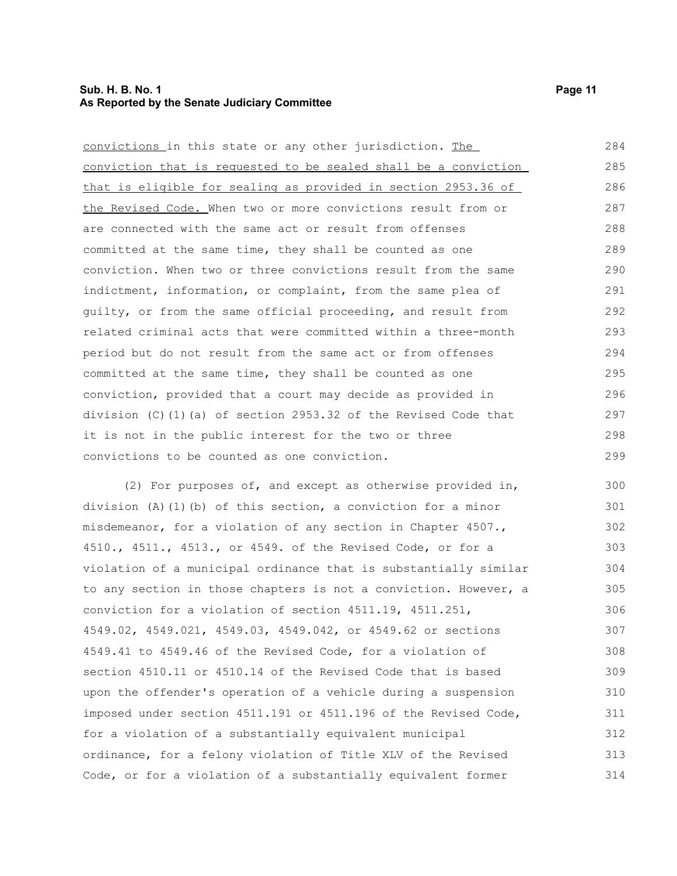#### **Sub. H. B. No. 1 Page 11 As Reported by the Senate Judiciary Committee**

convictions in this state or any other jurisdiction. The conviction that is requested to be sealed shall be a conviction that is eligible for sealing as provided in section 2953.36 of the Revised Code. When two or more convictions result from or are connected with the same act or result from offenses committed at the same time, they shall be counted as one conviction. When two or three convictions result from the same indictment, information, or complaint, from the same plea of guilty, or from the same official proceeding, and result from related criminal acts that were committed within a three-month period but do not result from the same act or from offenses committed at the same time, they shall be counted as one conviction, provided that a court may decide as provided in division (C)(1)(a) of section 2953.32 of the Revised Code that it is not in the public interest for the two or three convictions to be counted as one conviction. 284 285 286 287 288 289 290 291 292 293 294 295 296 297 298 299

(2) For purposes of, and except as otherwise provided in, division (A)(1)(b) of this section, a conviction for a minor misdemeanor, for a violation of any section in Chapter 4507., 4510., 4511., 4513., or 4549. of the Revised Code, or for a violation of a municipal ordinance that is substantially similar to any section in those chapters is not a conviction. However, a conviction for a violation of section 4511.19, 4511.251, 4549.02, 4549.021, 4549.03, 4549.042, or 4549.62 or sections 4549.41 to 4549.46 of the Revised Code, for a violation of section 4510.11 or 4510.14 of the Revised Code that is based upon the offender's operation of a vehicle during a suspension imposed under section 4511.191 or 4511.196 of the Revised Code, for a violation of a substantially equivalent municipal ordinance, for a felony violation of Title XLV of the Revised Code, or for a violation of a substantially equivalent former 300 301 302 303 304 305 306 307 308 309 310 311 312 313 314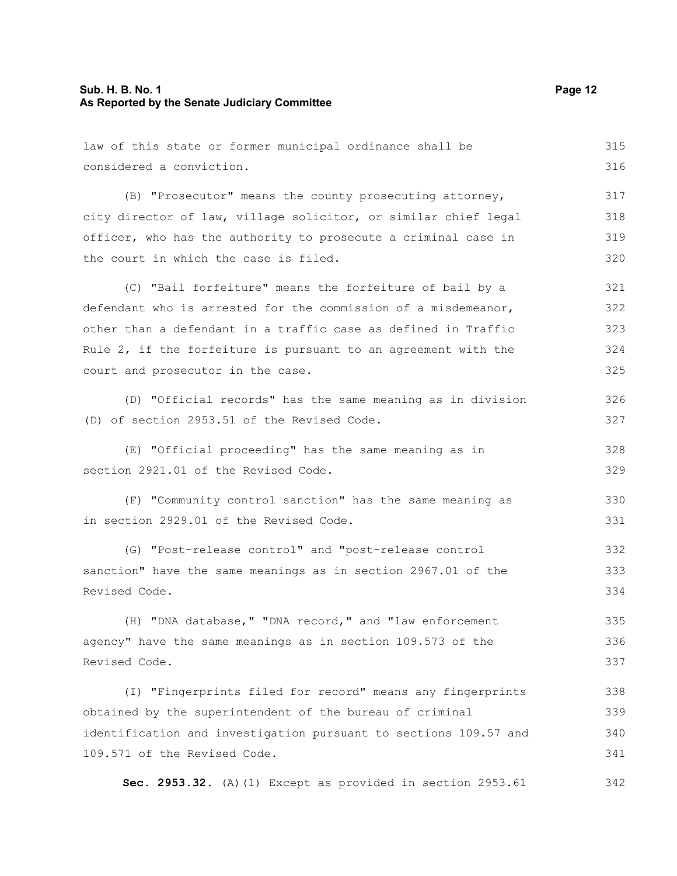| law of this state or former municipal ordinance shall be         | 315 |
|------------------------------------------------------------------|-----|
| considered a conviction.                                         | 316 |
| (B) "Prosecutor" means the county prosecuting attorney,          | 317 |
| city director of law, village solicitor, or similar chief legal  | 318 |
| officer, who has the authority to prosecute a criminal case in   | 319 |
| the court in which the case is filed.                            | 320 |
| (C) "Bail forfeiture" means the forfeiture of bail by a          | 321 |
| defendant who is arrested for the commission of a misdemeanor,   | 322 |
| other than a defendant in a traffic case as defined in Traffic   | 323 |
| Rule 2, if the forfeiture is pursuant to an agreement with the   | 324 |
| court and prosecutor in the case.                                | 325 |
| (D) "Official records" has the same meaning as in division       | 326 |
| (D) of section 2953.51 of the Revised Code.                      | 327 |
| (E) "Official proceeding" has the same meaning as in             | 328 |
| section 2921.01 of the Revised Code.                             | 329 |
| (F) "Community control sanction" has the same meaning as         | 330 |
| in section 2929.01 of the Revised Code.                          | 331 |
| (G) "Post-release control" and "post-release control             | 332 |
| sanction" have the same meanings as in section 2967.01 of the    | 333 |
| Revised Code.                                                    | 334 |
| (H) "DNA database, " "DNA record, " and "law enforcement         | 335 |
| agency" have the same meanings as in section 109.573 of the      | 336 |
| Revised Code.                                                    | 337 |
| (I) "Fingerprints filed for record" means any fingerprints       | 338 |
| obtained by the superintendent of the bureau of criminal         | 339 |
| identification and investigation pursuant to sections 109.57 and | 340 |
| 109.571 of the Revised Code.                                     | 341 |
| Sec. 2953.32. (A) (1) Except as provided in section 2953.61      | 342 |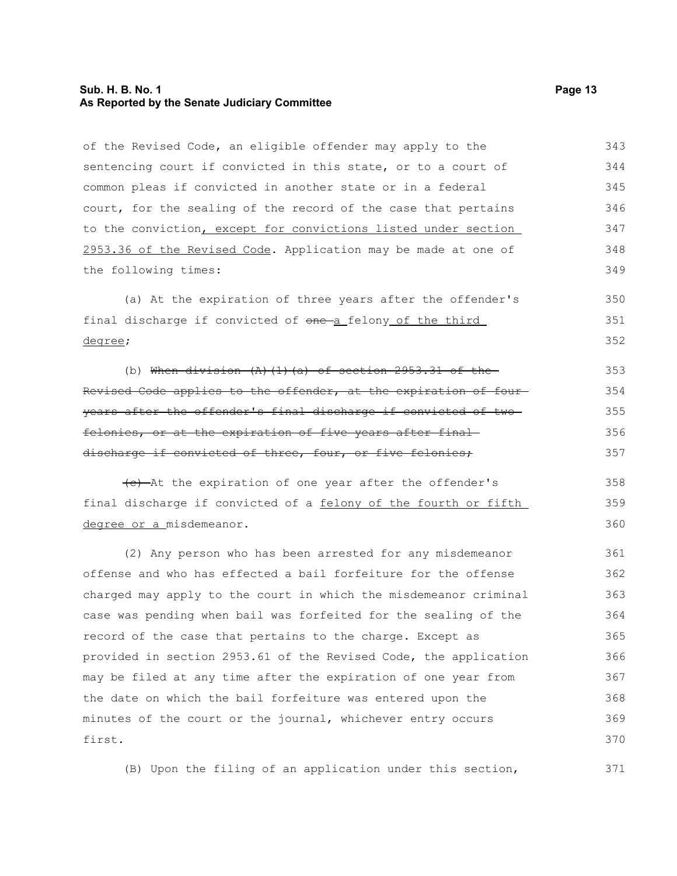#### **Sub. H. B. No. 1 Page 13 As Reported by the Senate Judiciary Committee**

of the Revised Code, an eligible offender may apply to the sentencing court if convicted in this state, or to a court of common pleas if convicted in another state or in a federal court, for the sealing of the record of the case that pertains to the conviction, except for convictions listed under section 2953.36 of the Revised Code. Application may be made at one of the following times: 343 344 345 346 347 348 349

(a) At the expiration of three years after the offender's final discharge if convicted of one a felony of the third degree; 350 351 352

(b) When division  $(A)$   $(1)$   $(a)$  of section 2953.31 of the Revised Code applies to the offender, at the expiration of fouryears after the offender's final discharge if convicted of two felonies, or at the expiration of five years after final discharge if convicted of three, four, or five felonies; 353 354 355 356 357

(c) At the expiration of one year after the offender's final discharge if convicted of a felony of the fourth or fifth degree or a misdemeanor.

(2) Any person who has been arrested for any misdemeanor offense and who has effected a bail forfeiture for the offense charged may apply to the court in which the misdemeanor criminal case was pending when bail was forfeited for the sealing of the record of the case that pertains to the charge. Except as provided in section 2953.61 of the Revised Code, the application may be filed at any time after the expiration of one year from the date on which the bail forfeiture was entered upon the minutes of the court or the journal, whichever entry occurs first. 361 362 363 364 365 366 367 368 369 370

(B) Upon the filing of an application under this section,

358 359 360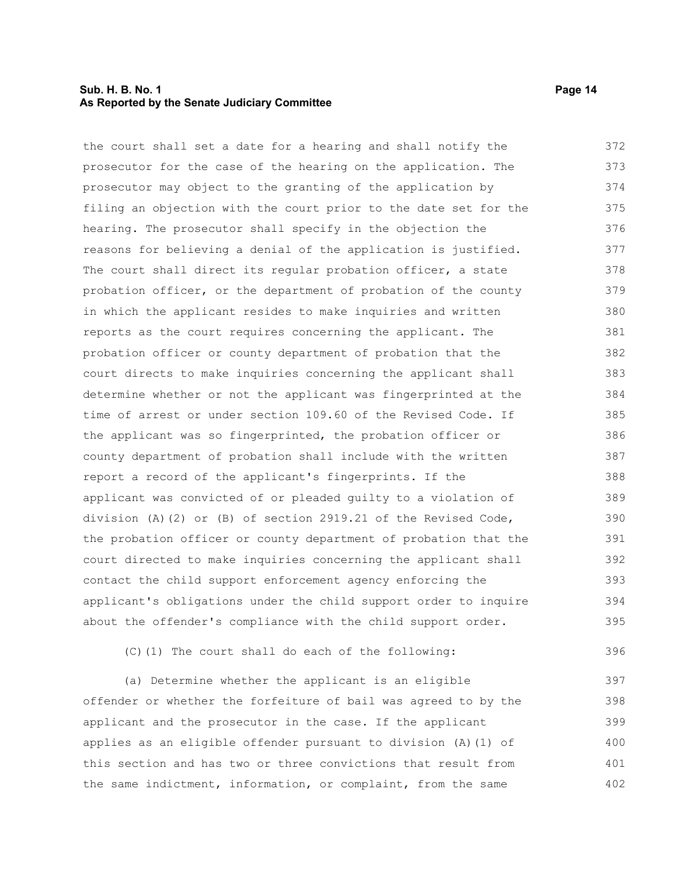#### **Sub. H. B. No. 1 Page 14 As Reported by the Senate Judiciary Committee**

the court shall set a date for a hearing and shall notify the prosecutor for the case of the hearing on the application. The prosecutor may object to the granting of the application by filing an objection with the court prior to the date set for the hearing. The prosecutor shall specify in the objection the reasons for believing a denial of the application is justified. The court shall direct its regular probation officer, a state probation officer, or the department of probation of the county in which the applicant resides to make inquiries and written reports as the court requires concerning the applicant. The probation officer or county department of probation that the court directs to make inquiries concerning the applicant shall determine whether or not the applicant was fingerprinted at the time of arrest or under section 109.60 of the Revised Code. If the applicant was so fingerprinted, the probation officer or county department of probation shall include with the written report a record of the applicant's fingerprints. If the applicant was convicted of or pleaded guilty to a violation of division (A)(2) or (B) of section 2919.21 of the Revised Code, the probation officer or county department of probation that the court directed to make inquiries concerning the applicant shall contact the child support enforcement agency enforcing the applicant's obligations under the child support order to inquire about the offender's compliance with the child support order. 372 373 374 375 376 377 378 379 380 381 382 383 384 385 386 387 388 389 390 391 392 393 394 395

(C)(1) The court shall do each of the following:

(a) Determine whether the applicant is an eligible offender or whether the forfeiture of bail was agreed to by the applicant and the prosecutor in the case. If the applicant applies as an eligible offender pursuant to division (A)(1) of this section and has two or three convictions that result from the same indictment, information, or complaint, from the same 397 398 399 400 401 402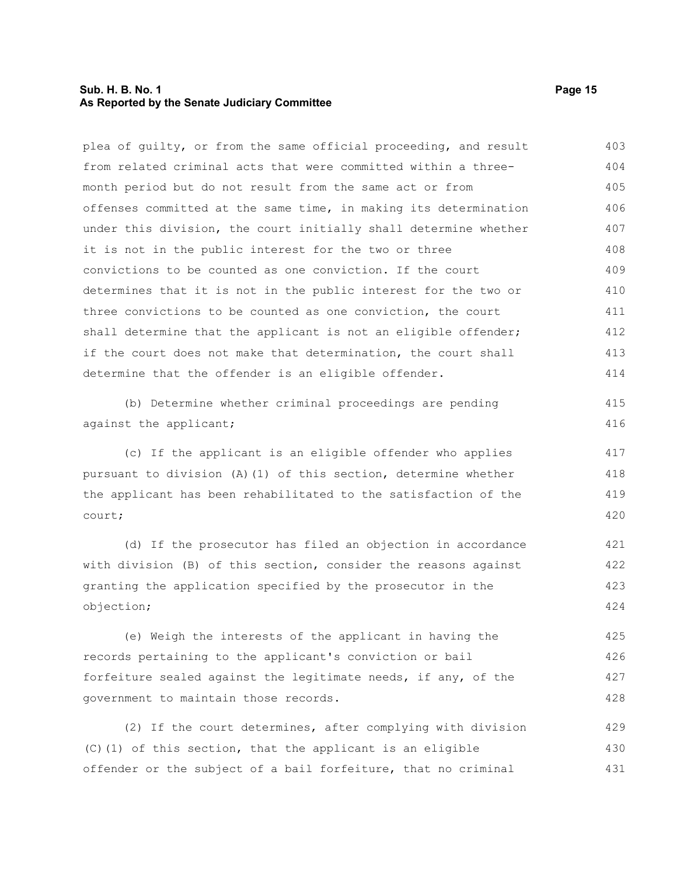#### **Sub. H. B. No. 1 Page 15 As Reported by the Senate Judiciary Committee**

plea of guilty, or from the same official proceeding, and result from related criminal acts that were committed within a threemonth period but do not result from the same act or from offenses committed at the same time, in making its determination under this division, the court initially shall determine whether it is not in the public interest for the two or three convictions to be counted as one conviction. If the court determines that it is not in the public interest for the two or three convictions to be counted as one conviction, the court shall determine that the applicant is not an eligible offender; if the court does not make that determination, the court shall determine that the offender is an eligible offender. 403 404 405 406 407 408 409 410 411 412 413 414 415

(b) Determine whether criminal proceedings are pending against the applicant;

(c) If the applicant is an eligible offender who applies pursuant to division (A)(1) of this section, determine whether the applicant has been rehabilitated to the satisfaction of the court; 417 418 419 420

(d) If the prosecutor has filed an objection in accordance with division (B) of this section, consider the reasons against granting the application specified by the prosecutor in the objection; 421 422 423 424

(e) Weigh the interests of the applicant in having the records pertaining to the applicant's conviction or bail forfeiture sealed against the legitimate needs, if any, of the government to maintain those records. 425 426 427 428

(2) If the court determines, after complying with division (C)(1) of this section, that the applicant is an eligible offender or the subject of a bail forfeiture, that no criminal 429 430 431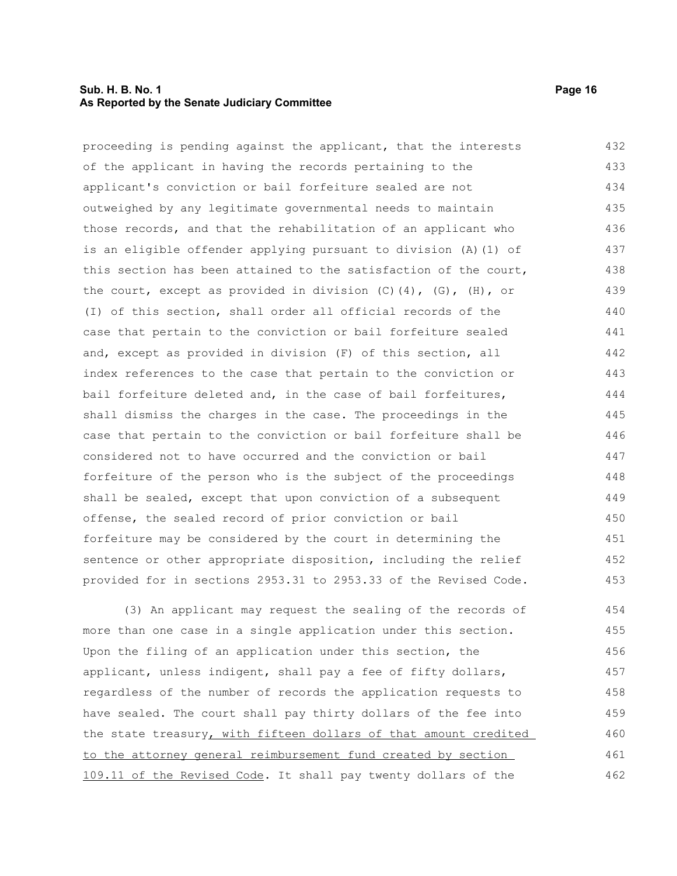#### **Sub. H. B. No. 1** Page 16 **As Reported by the Senate Judiciary Committee**

| proceeding is pending against the applicant, that the interests            | 432 |
|----------------------------------------------------------------------------|-----|
| of the applicant in having the records pertaining to the                   | 433 |
| applicant's conviction or bail forfeiture sealed are not                   | 434 |
| outweighed by any legitimate governmental needs to maintain                | 435 |
| those records, and that the rehabilitation of an applicant who             | 436 |
| is an eligible offender applying pursuant to division (A) (1) of           | 437 |
| this section has been attained to the satisfaction of the court,           | 438 |
| the court, except as provided in division $(C)$ $(4)$ , $(G)$ , $(H)$ , or | 439 |
| (I) of this section, shall order all official records of the               | 440 |
| case that pertain to the conviction or bail forfeiture sealed              | 441 |
| and, except as provided in division (F) of this section, all               | 442 |
| index references to the case that pertain to the conviction or             | 443 |
| bail forfeiture deleted and, in the case of bail forfeitures,              | 444 |
| shall dismiss the charges in the case. The proceedings in the              | 445 |
| case that pertain to the conviction or bail forfeiture shall be            | 446 |
| considered not to have occurred and the conviction or bail                 | 447 |
| forfeiture of the person who is the subject of the proceedings             | 448 |
| shall be sealed, except that upon conviction of a subsequent               | 449 |
| offense, the sealed record of prior conviction or bail                     | 450 |
| forfeiture may be considered by the court in determining the               | 451 |
| sentence or other appropriate disposition, including the relief            | 452 |
| provided for in sections 2953.31 to 2953.33 of the Revised Code.           | 453 |
| (3) An applicant may request the sealing of the records of                 | 454 |
| more than one case in a single application under this section.             | 455 |
| Upon the filing of an application under this section, the                  | 456 |
| applicant, unless indigent, shall pay a fee of fifty dollars,              | 457 |
| regardless of the number of records the application requests to            | 458 |

regardless of the number of records the application requests to have sealed. The court shall pay thirty dollars of the fee into the state treasury, with fifteen dollars of that amount credited to the attorney general reimbursement fund created by section 109.11 of the Revised Code. It shall pay twenty dollars of the 458 459 460 461 462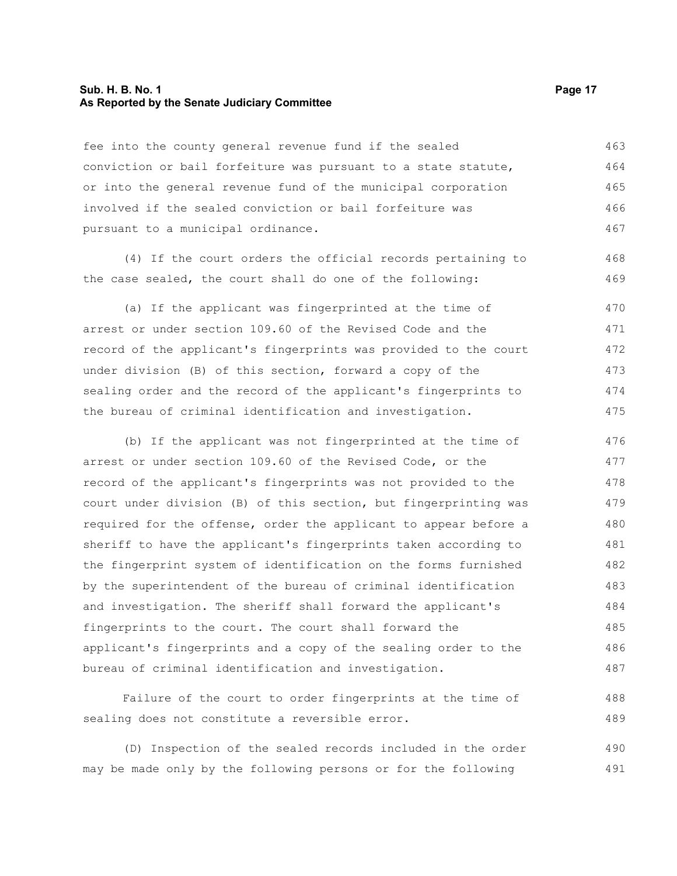#### **Sub. H. B. No. 1 Page 17 As Reported by the Senate Judiciary Committee**

fee into the county general revenue fund if the sealed conviction or bail forfeiture was pursuant to a state statute, or into the general revenue fund of the municipal corporation involved if the sealed conviction or bail forfeiture was pursuant to a municipal ordinance. 463 464 465 466 467

(4) If the court orders the official records pertaining to the case sealed, the court shall do one of the following:

(a) If the applicant was fingerprinted at the time of arrest or under section 109.60 of the Revised Code and the record of the applicant's fingerprints was provided to the court under division (B) of this section, forward a copy of the sealing order and the record of the applicant's fingerprints to the bureau of criminal identification and investigation. 470 471 472 473 474 475

(b) If the applicant was not fingerprinted at the time of arrest or under section 109.60 of the Revised Code, or the record of the applicant's fingerprints was not provided to the court under division (B) of this section, but fingerprinting was required for the offense, order the applicant to appear before a sheriff to have the applicant's fingerprints taken according to the fingerprint system of identification on the forms furnished by the superintendent of the bureau of criminal identification and investigation. The sheriff shall forward the applicant's fingerprints to the court. The court shall forward the applicant's fingerprints and a copy of the sealing order to the bureau of criminal identification and investigation. 476 477 478 479 480 481 482 483 484 485 486 487

Failure of the court to order fingerprints at the time of sealing does not constitute a reversible error. 488 489

(D) Inspection of the sealed records included in the order may be made only by the following persons or for the following 490 491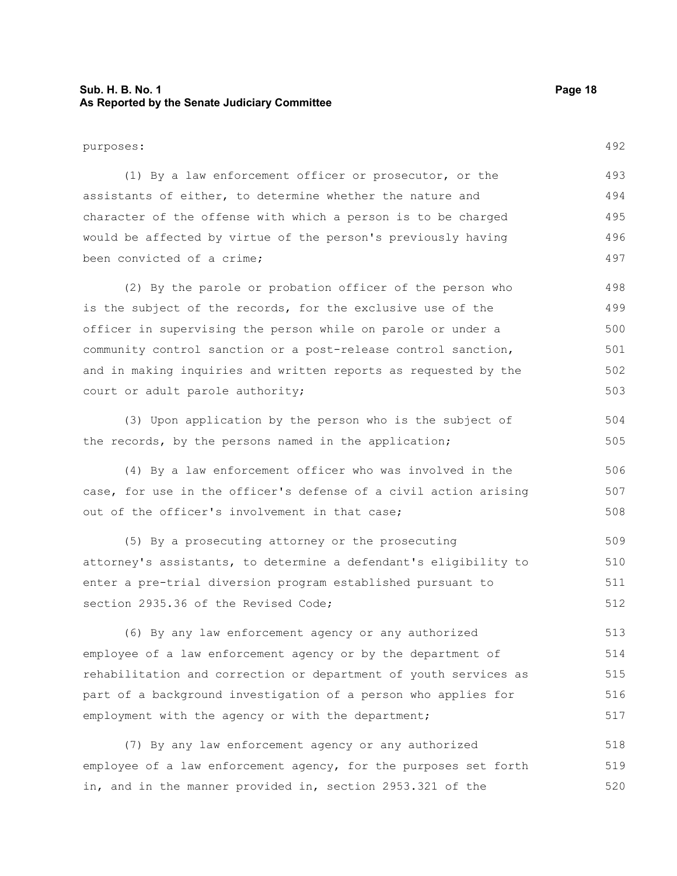#### **Sub. H. B. No. 1 Page 18 As Reported by the Senate Judiciary Committee**

purposes: (1) By a law enforcement officer or prosecutor, or the assistants of either, to determine whether the nature and character of the offense with which a person is to be charged would be affected by virtue of the person's previously having been convicted of a crime; (2) By the parole or probation officer of the person who

is the subject of the records, for the exclusive use of the officer in supervising the person while on parole or under a community control sanction or a post-release control sanction, and in making inquiries and written reports as requested by the court or adult parole authority; 498 499 500 501 502 503

(3) Upon application by the person who is the subject of the records, by the persons named in the application; 504 505

(4) By a law enforcement officer who was involved in the case, for use in the officer's defense of a civil action arising out of the officer's involvement in that case; 506 507 508

(5) By a prosecuting attorney or the prosecuting attorney's assistants, to determine a defendant's eligibility to enter a pre-trial diversion program established pursuant to section 2935.36 of the Revised Code; 509 510 511 512

(6) By any law enforcement agency or any authorized employee of a law enforcement agency or by the department of rehabilitation and correction or department of youth services as part of a background investigation of a person who applies for employment with the agency or with the department; 513 514 515 516 517

(7) By any law enforcement agency or any authorized employee of a law enforcement agency, for the purposes set forth in, and in the manner provided in, section 2953.321 of the 518 519 520

492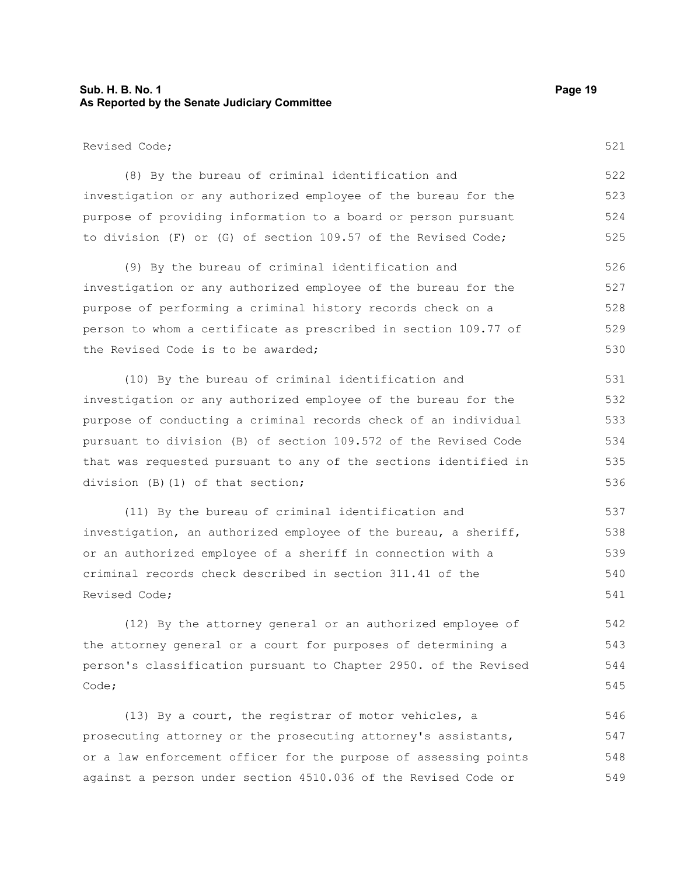### **Sub. H. B. No. 1 Page 19 As Reported by the Senate Judiciary Committee**

| Revised Code;                                                    | 521 |
|------------------------------------------------------------------|-----|
| (8) By the bureau of criminal identification and                 | 522 |
| investigation or any authorized employee of the bureau for the   | 523 |
| purpose of providing information to a board or person pursuant   | 524 |
| to division (F) or (G) of section 109.57 of the Revised Code;    | 525 |
| (9) By the bureau of criminal identification and                 | 526 |
| investigation or any authorized employee of the bureau for the   | 527 |
| purpose of performing a criminal history records check on a      | 528 |
| person to whom a certificate as prescribed in section 109.77 of  | 529 |
| the Revised Code is to be awarded;                               | 530 |
| (10) By the bureau of criminal identification and                | 531 |
| investigation or any authorized employee of the bureau for the   | 532 |
| purpose of conducting a criminal records check of an individual  | 533 |
| pursuant to division (B) of section 109.572 of the Revised Code  | 534 |
| that was requested pursuant to any of the sections identified in | 535 |
| division (B) (1) of that section;                                | 536 |
| (11) By the bureau of criminal identification and                | 537 |
| investigation, an authorized employee of the bureau, a sheriff,  | 538 |
| or an authorized employee of a sheriff in connection with a      | 539 |
| criminal records check described in section 311.41 of the        | 540 |
| Revised Code;                                                    | 541 |
| (12) By the attorney general or an authorized employee of        | 542 |
| the attorney general or a court for purposes of determining a    | 543 |
| person's classification pursuant to Chapter 2950. of the Revised | 544 |
| Code;                                                            | 545 |

(13) By a court, the registrar of motor vehicles, a prosecuting attorney or the prosecuting attorney's assistants, or a law enforcement officer for the purpose of assessing points against a person under section 4510.036 of the Revised Code or 546 547 548 549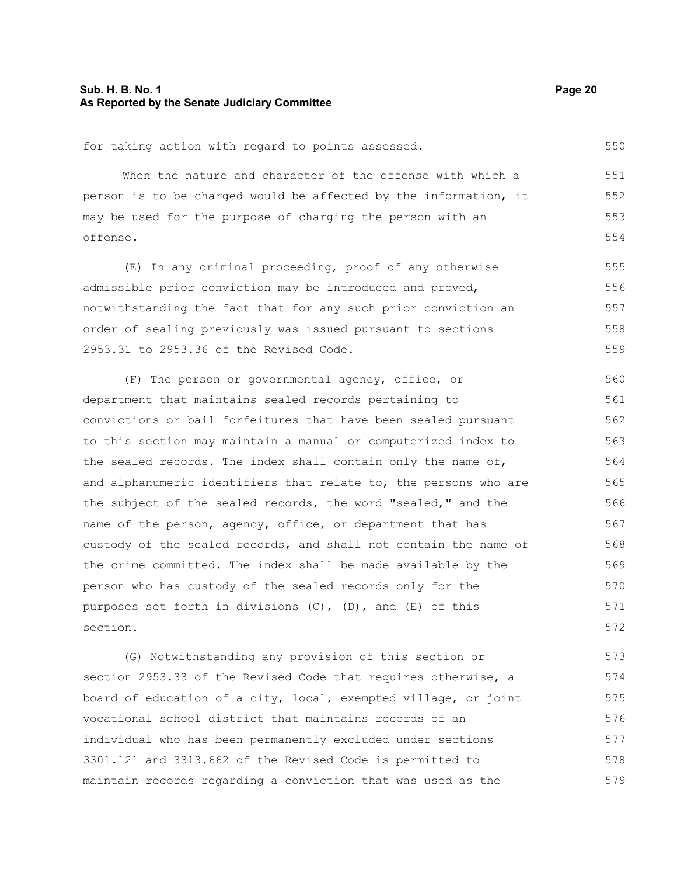#### **Sub. H. B. No. 1 Page 20 As Reported by the Senate Judiciary Committee**

```
for taking action with regard to points assessed.
```
When the nature and character of the offense with which a person is to be charged would be affected by the information, it may be used for the purpose of charging the person with an offense. 551 552 553 554

(E) In any criminal proceeding, proof of any otherwise admissible prior conviction may be introduced and proved, notwithstanding the fact that for any such prior conviction an order of sealing previously was issued pursuant to sections 2953.31 to 2953.36 of the Revised Code. 555 556 557 558 559

(F) The person or governmental agency, office, or department that maintains sealed records pertaining to convictions or bail forfeitures that have been sealed pursuant to this section may maintain a manual or computerized index to the sealed records. The index shall contain only the name of, and alphanumeric identifiers that relate to, the persons who are the subject of the sealed records, the word "sealed," and the name of the person, agency, office, or department that has custody of the sealed records, and shall not contain the name of the crime committed. The index shall be made available by the person who has custody of the sealed records only for the purposes set forth in divisions (C), (D), and (E) of this section. 560 561 562 563 564 565 566 567 568 569 570 571 572

(G) Notwithstanding any provision of this section or section 2953.33 of the Revised Code that requires otherwise, a board of education of a city, local, exempted village, or joint vocational school district that maintains records of an individual who has been permanently excluded under sections 3301.121 and 3313.662 of the Revised Code is permitted to maintain records regarding a conviction that was used as the 573 574 575 576 577 578 579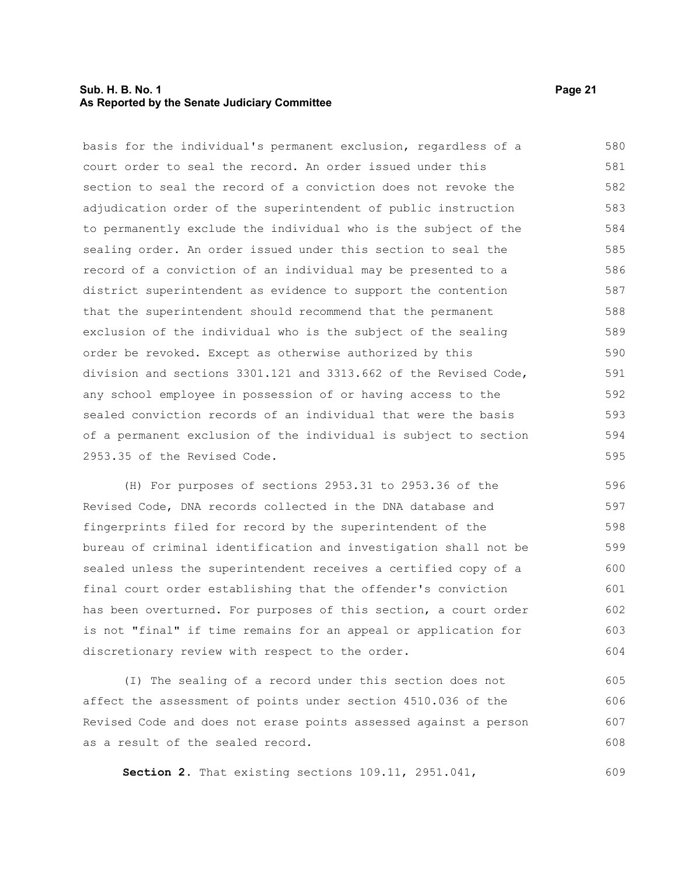#### **Sub. H. B. No. 1 Page 21 As Reported by the Senate Judiciary Committee**

basis for the individual's permanent exclusion, regardless of a court order to seal the record. An order issued under this section to seal the record of a conviction does not revoke the adjudication order of the superintendent of public instruction to permanently exclude the individual who is the subject of the sealing order. An order issued under this section to seal the record of a conviction of an individual may be presented to a district superintendent as evidence to support the contention that the superintendent should recommend that the permanent exclusion of the individual who is the subject of the sealing order be revoked. Except as otherwise authorized by this division and sections 3301.121 and 3313.662 of the Revised Code, any school employee in possession of or having access to the sealed conviction records of an individual that were the basis of a permanent exclusion of the individual is subject to section 2953.35 of the Revised Code. 580 581 582 583 584 585 586 587 588 589 590 591 592 593 594 595

(H) For purposes of sections 2953.31 to 2953.36 of the Revised Code, DNA records collected in the DNA database and fingerprints filed for record by the superintendent of the bureau of criminal identification and investigation shall not be sealed unless the superintendent receives a certified copy of a final court order establishing that the offender's conviction has been overturned. For purposes of this section, a court order is not "final" if time remains for an appeal or application for discretionary review with respect to the order. 596 597 598 599 600 601 602 603 604

(I) The sealing of a record under this section does not affect the assessment of points under section 4510.036 of the Revised Code and does not erase points assessed against a person as a result of the sealed record. 605 606 607 608

**Section 2.** That existing sections 109.11, 2951.041,